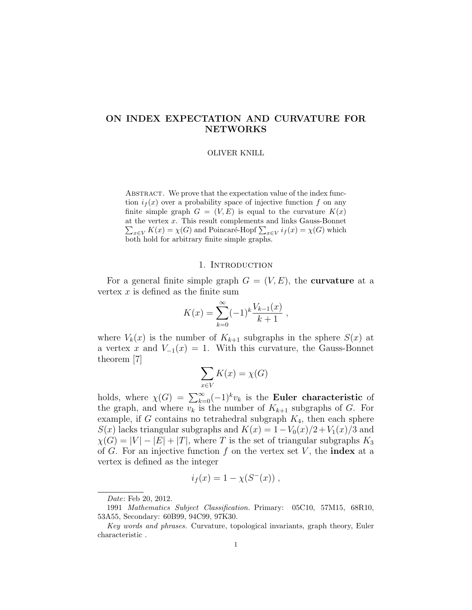# ON INDEX EXPECTATION AND CURVATURE FOR NETWORKS

#### OLIVER KNILL

ABSTRACT. We prove that the expectation value of the index function  $i_f(x)$  over a probability space of injective function f on any finite simple graph  $G = (V, E)$  is equal to the curvature  $K(x)$ at the vertex x. This result complements and links Gauss-Bonnet  $\sum_{x \in V} K(x) = \chi(G)$  and Poincaré-Hopf  $\sum_{x \in V} i_f(x) = \chi(G)$  which both hold for arbitrary finite simple graphs.

### 1. INTRODUCTION

For a general finite simple graph  $G = (V, E)$ , the **curvature** at a vertex  $x$  is defined as the finite sum

$$
K(x) = \sum_{k=0}^{\infty} (-1)^k \frac{V_{k-1}(x)}{k+1} ,
$$

where  $V_k(x)$  is the number of  $K_{k+1}$  subgraphs in the sphere  $S(x)$  at a vertex x and  $V_{-1}(x) = 1$ . With this curvature, the Gauss-Bonnet theorem [7]

$$
\sum_{x \in V} K(x) = \chi(G)
$$

holds, where  $\chi(G) = \sum_{k=0}^{\infty} (-1)^k v_k$  is the **Euler characteristic** of the graph, and where  $v_k$  is the number of  $K_{k+1}$  subgraphs of G. For example, if G contains no tetrahedral subgraph  $K_4$ , then each sphere  $S(x)$  lacks triangular subgraphs and  $K(x) = 1 - V_0(x)/2 + V_1(x)/3$  and  $\chi(G) = |V| - |E| + |T|$ , where T is the set of triangular subgraphs  $K_3$ of G. For an injective function f on the vertex set V, the **index** at a vertex is defined as the integer

$$
i_f(x) = 1 - \chi(S^-(x)) ,
$$

Date: Feb 20, 2012.

<sup>1991</sup> Mathematics Subject Classification. Primary: 05C10, 57M15, 68R10, 53A55, Secondary: 60B99, 94C99, 97K30.

Key words and phrases. Curvature, topological invariants, graph theory, Euler characteristic .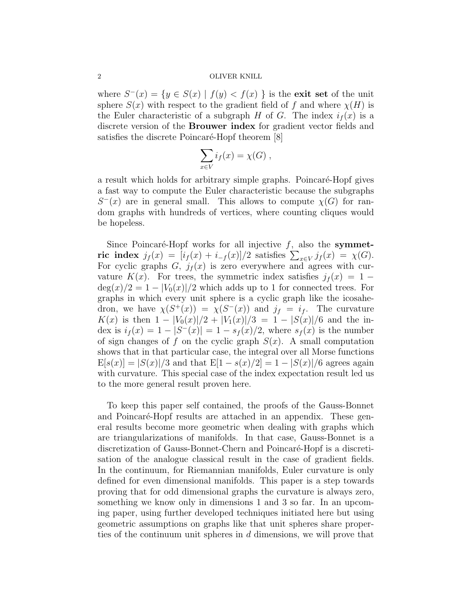#### 2 OLIVER KNILL

where  $S^{-}(x) = \{y \in S(x) \mid f(y) < f(x)\}$  is the exit set of the unit sphere  $S(x)$  with respect to the gradient field of f and where  $\chi(H)$  is the Euler characteristic of a subgraph H of G. The index  $i_f(x)$  is a discrete version of the Brouwer index for gradient vector fields and satisfies the discrete Poincaré-Hopf theorem [8]

$$
\sum_{x \in V} i_f(x) = \chi(G) ,
$$

a result which holds for arbitrary simple graphs. Poincaré-Hopf gives a fast way to compute the Euler characteristic because the subgraphs  $S^{-}(x)$  are in general small. This allows to compute  $\chi(G)$  for random graphs with hundreds of vertices, where counting cliques would be hopeless.

Since Poincaré-Hopf works for all injective  $f$ , also the symmetric index  $j_f(x) = [i_f(x) + i_{-f}(x)]/2$  satisfies  $\sum_{x \in V} j_f(x) = \chi(G)$ . For cyclic graphs  $G, j_f(x)$  is zero everywhere and agrees with curvature  $K(x)$ . For trees, the symmetric index satisfies  $j_f(x) = 1 \deg(x)/2 = 1 - |V_0(x)|/2$  which adds up to 1 for connected trees. For graphs in which every unit sphere is a cyclic graph like the icosahedron, we have  $\chi(S^+(x)) = \chi(S^-(x))$  and  $j_f = i_f$ . The curvature  $K(x)$  is then  $1 - |V_0(x)|/2 + |V_1(x)|/3 = 1 - |S(x)|/6$  and the index is  $i_f(x) = 1 - |S'(x)| = 1 - s_f(x)/2$ , where  $s_f(x)$  is the number of sign changes of f on the cyclic graph  $S(x)$ . A small computation shows that in that particular case, the integral over all Morse functions  $E[s(x)] = |S(x)|/3$  and that  $E[1 - s(x)/2] = 1 - |S(x)|/6$  agrees again with curvature. This special case of the index expectation result led us to the more general result proven here.

To keep this paper self contained, the proofs of the Gauss-Bonnet and Poincaré-Hopf results are attached in an appendix. These general results become more geometric when dealing with graphs which are triangularizations of manifolds. In that case, Gauss-Bonnet is a discretization of Gauss-Bonnet-Chern and Poincaré-Hopf is a discretisation of the analogue classical result in the case of gradient fields. In the continuum, for Riemannian manifolds, Euler curvature is only defined for even dimensional manifolds. This paper is a step towards proving that for odd dimensional graphs the curvature is always zero, something we know only in dimensions 1 and 3 so far. In an upcoming paper, using further developed techniques initiated here but using geometric assumptions on graphs like that unit spheres share properties of the continuum unit spheres in d dimensions, we will prove that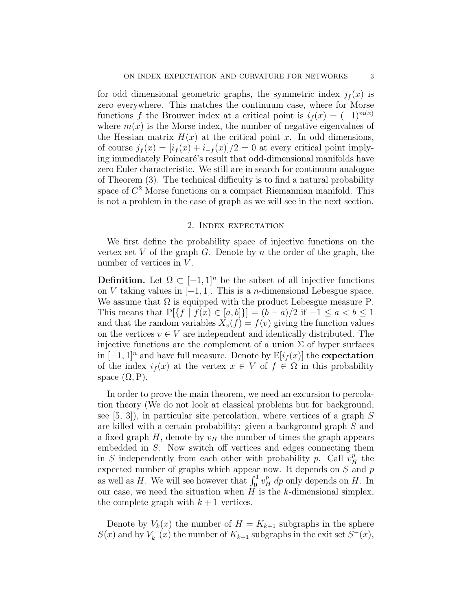for odd dimensional geometric graphs, the symmetric index  $j_f(x)$  is zero everywhere. This matches the continuum case, where for Morse functions f the Brouwer index at a critical point is  $i_f(x) = (-1)^{m(x)}$ where  $m(x)$  is the Morse index, the number of negative eigenvalues of the Hessian matrix  $H(x)$  at the critical point x. In odd dimensions, of course  $j_f(x) = [i_f(x) + i_{-f}(x)]/2 = 0$  at every critical point implying immediately Poincaré's result that odd-dimensional manifolds have zero Euler characteristic. We still are in search for continuum analogue of Theorem (3). The technical difficulty is to find a natural probability space of  $C^2$  Morse functions on a compact Riemannian manifold. This is not a problem in the case of graph as we will see in the next section.

## 2. Index expectation

We first define the probability space of injective functions on the vertex set V of the graph G. Denote by n the order of the graph, the number of vertices in  $V$ .

**Definition.** Let  $\Omega \subset [-1,1]^n$  be the subset of all injective functions on V taking values in  $[-1, 1]$ . This is a *n*-dimensional Lebesgue space. We assume that  $\Omega$  is equipped with the product Lebesgue measure P. This means that  $P[\{f \mid f(x) \in [a, b]\}] = (b - a)/2$  if  $-1 \le a < b \le 1$ and that the random variables  $X_v(f) = f(v)$  giving the function values on the vertices  $v \in V$  are independent and identically distributed. The injective functions are the complement of a union  $\Sigma$  of hyper surfaces in  $[-1, 1]^n$  and have full measure. Denote by  $E[i_f(x)]$  the expectation of the index  $i_f(x)$  at the vertex  $x \in V$  of  $f \in \Omega$  in this probability space  $(\Omega, P)$ .

In order to prove the main theorem, we need an excursion to percolation theory (We do not look at classical problems but for background, see  $[5, 3]$ , in particular site percolation, where vertices of a graph S are killed with a certain probability: given a background graph S and a fixed graph  $H$ , denote by  $v_H$  the number of times the graph appears embedded in S. Now switch off vertices and edges connecting them in S independently from each other with probability p. Call  $v_H^p$  the expected number of graphs which appear now. It depends on  $S$  and  $p$ as well as H. We will see however that  $\int_0^1 v_H^p dp$  only depends on H. In our case, we need the situation when  $\tilde{H}$  is the k-dimensional simplex, the complete graph with  $k+1$  vertices.

Denote by  $V_k(x)$  the number of  $H = K_{k+1}$  subgraphs in the sphere  $S(x)$  and by  $V_k^ K_k^{-}(x)$  the number of  $K_{k+1}$  subgraphs in the exit set  $S^{-}(x)$ ,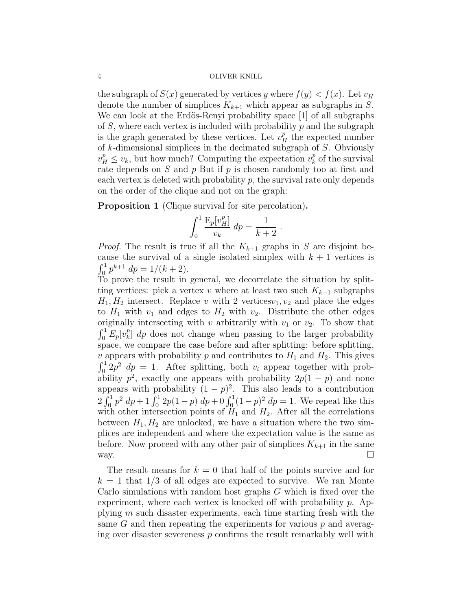#### 4 OLIVER KNILL

the subgraph of  $S(x)$  generated by vertices y where  $f(y) < f(x)$ . Let  $v_H$ denote the number of simplices  $K_{k+1}$  which appear as subgraphs in S. We can look at the Erdös-Renyi probability space [1] of all subgraphs of  $S$ , where each vertex is included with probability  $p$  and the subgraph is the graph generated by these vertices. Let  $v_H^p$  the expected number of  $k$ -dimensional simplices in the decimated subgraph of  $S$ . Obviously  $v_H^p \leq v_k$ , but how much? Computing the expectation  $v_k^p$  $_k^p$  of the survival rate depends on  $S$  and  $p$  But if  $p$  is chosen randomly too at first and each vertex is deleted with probability  $p$ , the survival rate only depends on the order of the clique and not on the graph:

Proposition 1 (Clique survival for site percolation).

$$
\int_0^1 \frac{E_p[v_H^p]}{v_k} dp = \frac{1}{k+2} .
$$

*Proof.* The result is true if all the  $K_{k+1}$  graphs in S are disjoint because the survival of a single isolated simplex with  $k + 1$  vertices is  $\int_0^1 p^{k+1} dp = 1/(k+2).$ 

To prove the result in general, we decorrelate the situation by splitting vertices: pick a vertex v where at least two such  $K_{k+1}$  subgraphs  $H_1, H_2$  intersect. Replace v with 2 vertices  $v_1, v_2$  and place the edges to  $H_1$  with  $v_1$  and edges to  $H_2$  with  $v_2$ . Distribute the other edges originally intersecting with v arbitrarily with  $v_1$  or  $v_2$ . To show that  $\int_0^1 E_p[v_k^p]$  $\binom{p}{k}$  dp does not change when passing to the larger probability space, we compare the case before and after splitting: before splitting, v appears with probability p and contributes to  $H_1$  and  $H_2$ . This gives  $\int_0^1 2p^2 dp = 1$ . After splitting, both  $v_i$  appear together with probability  $p^2$ , exactly one appears with probability  $2p(1-p)$  and none appears with probability  $(1 - p)^2$ . This also leads to a contribution  $2\int_0^1 p^2 dp + 1\int_0^1 2p(1-p) dp + 0\int_0^1 (1-p)^2 dp = 1$ . We repeat like this with other intersection points of  $H_1$  and  $H_2$ . After all the correlations between  $H_1, H_2$  are unlocked, we have a situation where the two simplices are independent and where the expectation value is the same as before. Now proceed with any other pair of simplices  $K_{k+1}$  in the same way.  $\Box$ 

The result means for  $k = 0$  that half of the points survive and for  $k = 1$  that 1/3 of all edges are expected to survive. We ran Monte Carlo simulations with random host graphs  $G$  which is fixed over the experiment, where each vertex is knocked off with probability  $p$ . Applying m such disaster experiments, each time starting fresh with the same  $G$  and then repeating the experiments for various  $p$  and averaging over disaster severeness  $p$  confirms the result remarkably well with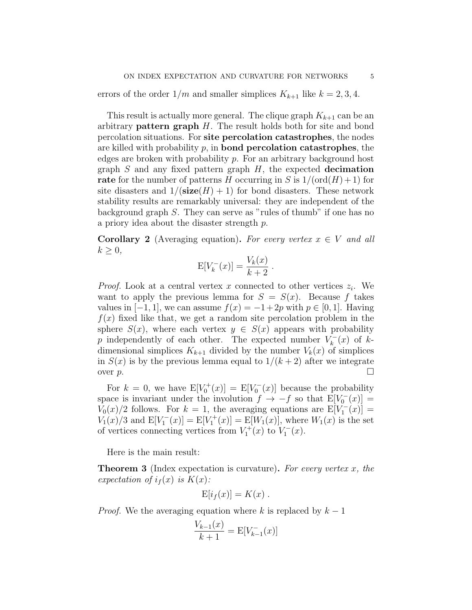errors of the order  $1/m$  and smaller simplices  $K_{k+1}$  like  $k = 2, 3, 4$ .

This result is actually more general. The clique graph  $K_{k+1}$  can be an arbitrary **pattern graph**  $H$ . The result holds both for site and bond percolation situations. For site percolation catastrophes, the nodes are killed with probability  $p$ , in **bond percolation catastrophes**, the edges are broken with probability  $p$ . For an arbitrary background host graph  $S$  and any fixed pattern graph  $H$ , the expected decimation rate for the number of patterns H occurring in S is  $1/(\text{ord}(H) + 1)$  for site disasters and  $1/(\text{size}(H) + 1)$  for bond disasters. These network stability results are remarkably universal: they are independent of the background graph S. They can serve as "rules of thumb" if one has no a priory idea about the disaster strength p.

**Corollary 2** (Averaging equation). For every vertex  $x \in V$  and all  $k \geq 0$ ,

$$
E[V_k^-(x)] = \frac{V_k(x)}{k+2}.
$$

*Proof.* Look at a central vertex x connected to other vertices  $z_i$ . We want to apply the previous lemma for  $S = S(x)$ . Because f takes values in  $[-1, 1]$ , we can assume  $f(x) = -1+2p$  with  $p \in [0, 1]$ . Having  $f(x)$  fixed like that, we get a random site percolation problem in the sphere  $S(x)$ , where each vertex  $y \in S(x)$  appears with probability p independently of each other. The expected number  $V_k^ \binom{r}{k}(x)$  of  $k$ dimensional simplices  $K_{k+1}$  divided by the number  $V_k(x)$  of simplices in  $S(x)$  is by the previous lemma equal to  $1/(k+2)$  after we integrate over  $p$ .

For  $k = 0$ , we have  $E[V_0^+(x)] = E[V_0^-(x)]$  because the probability space is invariant under the involution  $f \to -f$  so that  $E[V_0^-(x)] =$  $V_0(x)/2$  follows. For  $k = 1$ , the averaging equations are  $E[V_1^-(x)] =$  $V_1(x)/3$  and  $E[V_1^-(x)] = E[V_1^+(x)] = E[W_1(x)]$ , where  $W_1(x)$  is the set of vertices connecting vertices from  $V_1^+(x)$  to  $V_1^-(x)$ .

Here is the main result:

**Theorem 3** (Index expectation is curvature). For every vertex x, the expectation of  $i_f(x)$  is  $K(x)$ :

$$
E[i_f(x)] = K(x) .
$$

*Proof.* We the averaging equation where k is replaced by  $k - 1$ 

$$
\frac{V_{k-1}(x)}{k+1} = \mathbb{E}[V_{k-1}^{-}(x)]
$$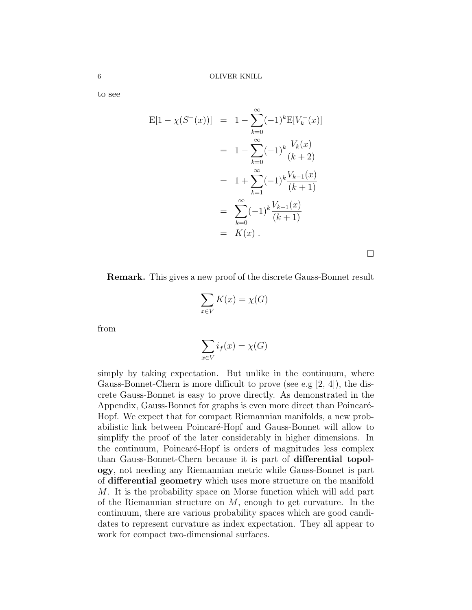to see

$$
E[1 - \chi(S^{-}(x))] = 1 - \sum_{k=0}^{\infty} (-1)^{k} E[V_{k}^{-}(x)]
$$
  
=  $1 - \sum_{k=0}^{\infty} (-1)^{k} \frac{V_{k}(x)}{(k+2)}$   
=  $1 + \sum_{k=1}^{\infty} (-1)^{k} \frac{V_{k-1}(x)}{(k+1)}$   
=  $\sum_{k=0}^{\infty} (-1)^{k} \frac{V_{k-1}(x)}{(k+1)}$   
=  $K(x)$ .

 $\Box$ 

Remark. This gives a new proof of the discrete Gauss-Bonnet result

$$
\sum_{x \in V} K(x) = \chi(G)
$$

from

$$
\sum_{x \in V} i_f(x) = \chi(G)
$$

simply by taking expectation. But unlike in the continuum, where Gauss-Bonnet-Chern is more difficult to prove (see e.g [2, 4]), the discrete Gauss-Bonnet is easy to prove directly. As demonstrated in the Appendix, Gauss-Bonnet for graphs is even more direct than Poincaré-Hopf. We expect that for compact Riemannian manifolds, a new probabilistic link between Poincaré-Hopf and Gauss-Bonnet will allow to simplify the proof of the later considerably in higher dimensions. In the continuum, Poincaré-Hopf is orders of magnitudes less complex than Gauss-Bonnet-Chern because it is part of differential topology, not needing any Riemannian metric while Gauss-Bonnet is part of differential geometry which uses more structure on the manifold M. It is the probability space on Morse function which will add part of the Riemannian structure on M, enough to get curvature. In the continuum, there are various probability spaces which are good candidates to represent curvature as index expectation. They all appear to work for compact two-dimensional surfaces.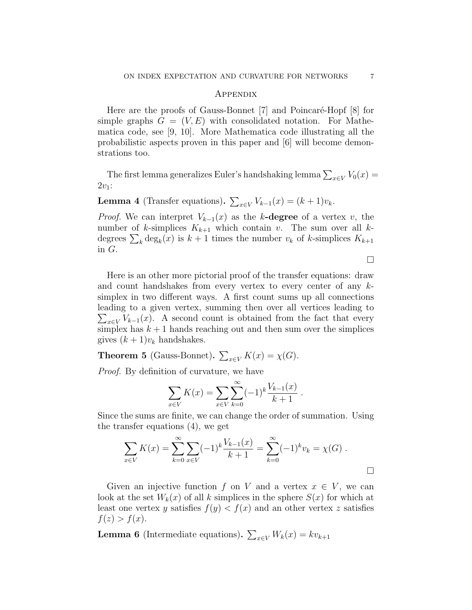## **APPENDIX**

Here are the proofs of Gauss-Bonnet [7] and Poincaré-Hopf [8] for simple graphs  $G = (V, E)$  with consolidated notation. For Mathematica code, see [9, 10]. More Mathematica code illustrating all the probabilistic aspects proven in this paper and [6] will become demonstrations too.

The first lemma generalizes Euler's handshaking lemma  $\sum_{x \in V} V_0(x) =$  $2v_1$ :

**Lemma 4** (Transfer equations).  $\sum_{x \in V} V_{k-1}(x) = (k+1)v_k$ .

*Proof.* We can interpret  $V_{k-1}(x)$  as the k-degree of a vertex v, the number of k-simplices  $K_{k+1}$  which contain v. The sum over all kdegrees  $\sum_k \deg_k(x)$  is  $k+1$  times the number  $v_k$  of k-simplices  $K_{k+1}$ in G.

 $\Box$ 

Here is an other more pictorial proof of the transfer equations: draw and count handshakes from every vertex to every center of any ksimplex in two different ways. A first count sums up all connections leading to a given vertex, summing then over all vertices leading to  $\sum_{x \in V} V_{k-1}(x)$ . A second count is obtained from the fact that every simplex has  $k + 1$  hands reaching out and then sum over the simplices gives  $(k+1)v_k$  handshakes.

**Theorem 5** (Gauss-Bonnet).  $\sum_{x \in V} K(x) = \chi(G)$ .

Proof. By definition of curvature, we have

$$
\sum_{x \in V} K(x) = \sum_{x \in V} \sum_{k=0}^{\infty} (-1)^k \frac{V_{k-1}(x)}{k+1}.
$$

Since the sums are finite, we can change the order of summation. Using the transfer equations (4), we get

$$
\sum_{x \in V} K(x) = \sum_{k=0}^{\infty} \sum_{x \in V} (-1)^k \frac{V_{k-1}(x)}{k+1} = \sum_{k=0}^{\infty} (-1)^k v_k = \chi(G) .
$$

Given an injective function f on V and a vertex  $x \in V$ , we can look at the set  $W_k(x)$  of all k simplices in the sphere  $S(x)$  for which at least one vertex y satisfies  $f(y) < f(x)$  and an other vertex z satisfies  $f(z) > f(x)$ .

**Lemma 6** (Intermediate equations).  $\sum_{x \in V} W_k(x) = k v_{k+1}$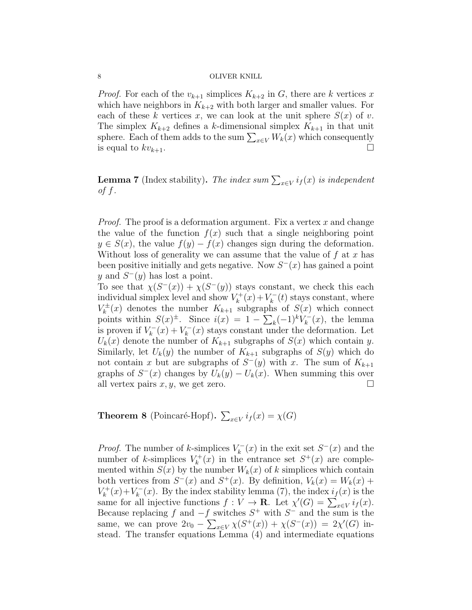#### 8 OLIVER KNILL

*Proof.* For each of the  $v_{k+1}$  simplices  $K_{k+2}$  in G, there are k vertices x which have neighbors in  $K_{k+2}$  with both larger and smaller values. For each of these k vertices x, we can look at the unit sphere  $S(x)$  of v. The simplex  $K_{k+2}$  defines a k-dimensional simplex  $K_{k+1}$  in that unit sphere. Each of them adds to the sum  $\sum_{x \in V} W_k(x)$  which consequently is equal to  $kv_{k+1}$ .

**Lemma 7** (Index stability). The index sum  $\sum_{x \in V} i_f(x)$  is independent of  $f$ .

*Proof.* The proof is a deformation argument. Fix a vertex  $x$  and change the value of the function  $f(x)$  such that a single neighboring point  $y \in S(x)$ , the value  $f(y) - f(x)$  changes sign during the deformation. Without loss of generality we can assume that the value of  $f$  at  $x$  has been positive initially and gets negative. Now  $S<sup>-</sup>(x)$  has gained a point y and  $S^-(y)$  has lost a point.

To see that  $\chi(S^{-}(x)) + \chi(S^{-}(y))$  stays constant, we check this each individual simplex level and show  $V_k^+$  $k^{+}(x) + V_k^{-}$  $\mathbf{K}_{k}^{-}(t)$  stays constant, where  $V_k^{\pm}$  $K_k^{\pm}(x)$  denotes the number  $K_{k+1}$  subgraphs of  $S(x)$  which connect points within  $S(x)^{\pm}$ . Since  $i(x) = 1 - \sum_{k} (-1)^{k} V_{k}^{-}$  $\binom{r}{k}(x)$ , the lemma is proven if  $V_k^ \binom{r}{k}(x) + V_k^{-}$  $\chi_k^{-1}(x)$  stays constant under the deformation. Let  $U_k(x)$  denote the number of  $K_{k+1}$  subgraphs of  $S(x)$  which contain y. Similarly, let  $U_k(y)$  the number of  $K_{k+1}$  subgraphs of  $S(y)$  which do not contain x but are subgraphs of  $S^-(y)$  with x. The sum of  $K_{k+1}$ graphs of  $S^-(x)$  changes by  $U_k(y) - U_k(x)$ . When summing this over all vertex pairs  $x, y$ , we get zero.

**Theorem 8** (Poincaré-Hopf).  $\sum_{x \in V} i_f(x) = \chi(G)$ 

*Proof.* The number of k-simplices  $V_k^ \chi_k^-(x)$  in the exit set  $S^-(x)$  and the number of k-simplices  $V_k^+$  $k_k^{+}(x)$  in the entrance set  $S^+(x)$  are complemented within  $S(x)$  by the number  $W_k(x)$  of k simplices which contain both vertices from  $S^{-}(x)$  and  $S^{+}(x)$ . By definition,  $V_{k}(x) = W_{k}(x) +$  $V_k^+$  $k^{+}(x)+V_{k}^{-}$  $\chi_{k}^{-}(x)$ . By the index stability lemma (7), the index  $i_{f}(x)$  is the same for all injective functions  $f: V \to \mathbf{R}$ . Let  $\chi'(G) = \sum_{x \in V} i_f(x)$ . Because replacing f and  $-f$  switches  $S^+$  with  $S^-$  and the sum is the same, we can prove  $2v_0 - \sum_{x \in V} \chi(S^+(x)) + \chi(S^-(x)) = 2\chi'(G)$  instead. The transfer equations Lemma (4) and intermediate equations